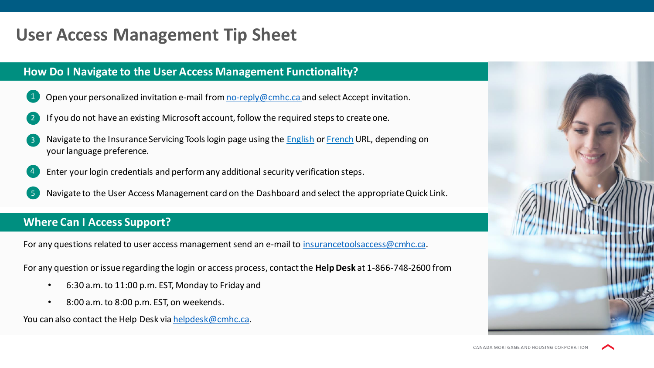# **User Access Management Tip Sheet**

### **How Do I Navigate to the User Access Management Functionality?**

- Open your personalized invitation e-mail from [no-reply@cmhc.ca a](mailto:no-reply@cmhc.ca)nd select Accept invitation.
- 2. If you do not have an existing Microsoft account, follow the required steps to create one.
- Navigate to the Insurance Servicing Tools login page using the **English or [French](http://passerelle.schl.ca/) URL**, depending on your language preference.
- 4. Enter your login credentials and perform any additional security verification steps.
- 5. Navigate to the User Access Management card on the Dashboard and select the appropriate Quick Link.

#### **Where Can I Access Support?**

For any questions related to user access management send an e-mail to [insurancetoolsaccess@cmhc.ca](mailto:insurancetoolsaccess@cmhc.ca).

For any question or issue regarding the login or access process, contact the **Help Desk** at 1-866-748-2600 from

- 6:30 a.m. to 11:00 p.m. EST, Monday to Friday and
- 8:00 a.m. to 8:00 p.m. EST, on weekends.

You can also contact the Help Desk via [helpdesk@cmhc.ca](mailto:helpdesk@cmhc.ca).